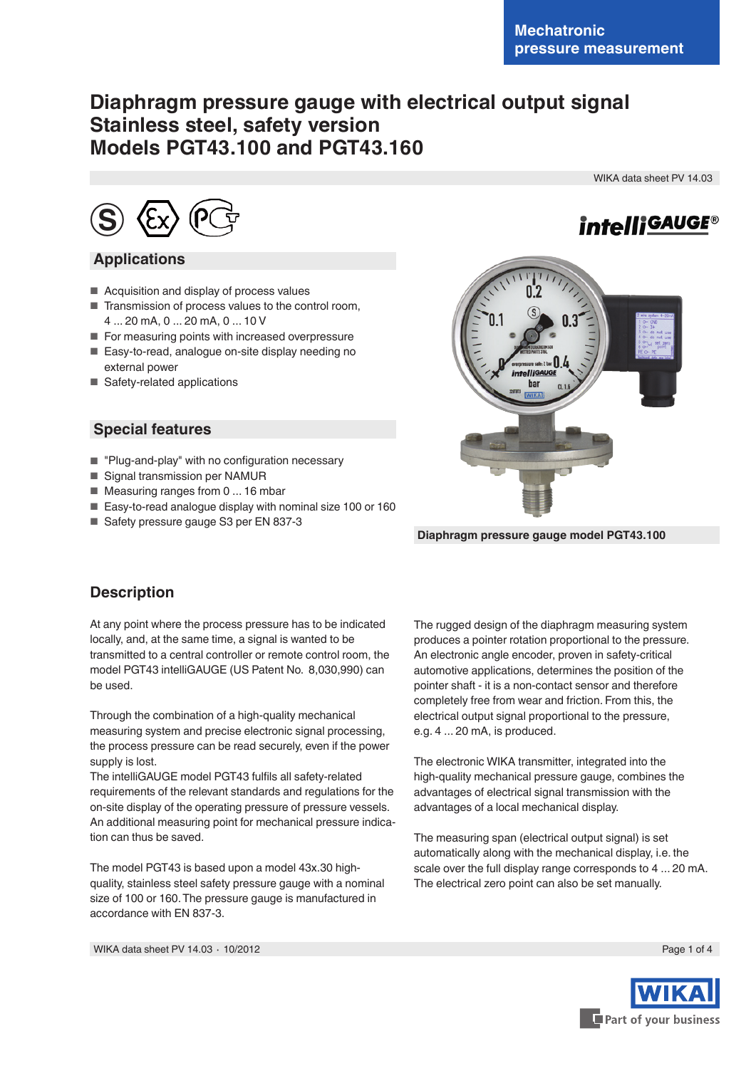# **Diaphragm pressure gauge with electrical output signal Stainless steel, safety version Models PGT43.100 and PGT43.160**

WIKA data sheet PV 14.03

*intelliGAUGE®* 



### **Applications**

- Acquisition and display of process values
- Transmission of process values to the control room, 4 ... 20 mA, 0 ... 20 mA, 0 ... 10 V
- For measuring points with increased overpressure
- Easy-to-read, analogue on-site display needing no external power
- Safety-related applications

### **Special features**

- "Plug-and-play" with no configuration necessary
- Signal transmission per NAMUR
- Measuring ranges from 0 ... 16 mbar
- Easy-to-read analogue display with nominal size 100 or 160
- Safety pressure gauge S3 per EN 837-3



**Diaphragm pressure gauge model PGT43.100**

## **Description**

At any point where the process pressure has to be indicated locally, and, at the same time, a signal is wanted to be transmitted to a central controller or remote control room, the model PGT43 intelliGAUGE (US Patent No. 8,030,990) can be used.

Through the combination of a high-quality mechanical measuring system and precise electronic signal processing, the process pressure can be read securely, even if the power supply is lost.

The intelliGAUGE model PGT43 fulfils all safety-related requirements of the relevant standards and regulations for the on-site display of the operating pressure of pressure vessels. An additional measuring point for mechanical pressure indication can thus be saved.

The model PGT43 is based upon a model 43x.30 highquality, stainless steel safety pressure gauge with a nominal size of 100 or 160. The pressure gauge is manufactured in accordance with EN 837-3.

The rugged design of the diaphragm measuring system produces a pointer rotation proportional to the pressure. An electronic angle encoder, proven in safety-critical automotive applications, determines the position of the pointer shaft - it is a non-contact sensor and therefore completely free from wear and friction. From this, the electrical output signal proportional to the pressure, e.g. 4 ... 20 mA, is produced.

The electronic WIKA transmitter, integrated into the high-quality mechanical pressure gauge, combines the advantages of electrical signal transmission with the advantages of a local mechanical display.

The measuring span (electrical output signal) is set automatically along with the mechanical display, i.e. the scale over the full display range corresponds to 4 ... 20 mA. The electrical zero point can also be set manually.

WIKA data sheet PV 14.03 ⋅ 10/2012 Page 1 of 4

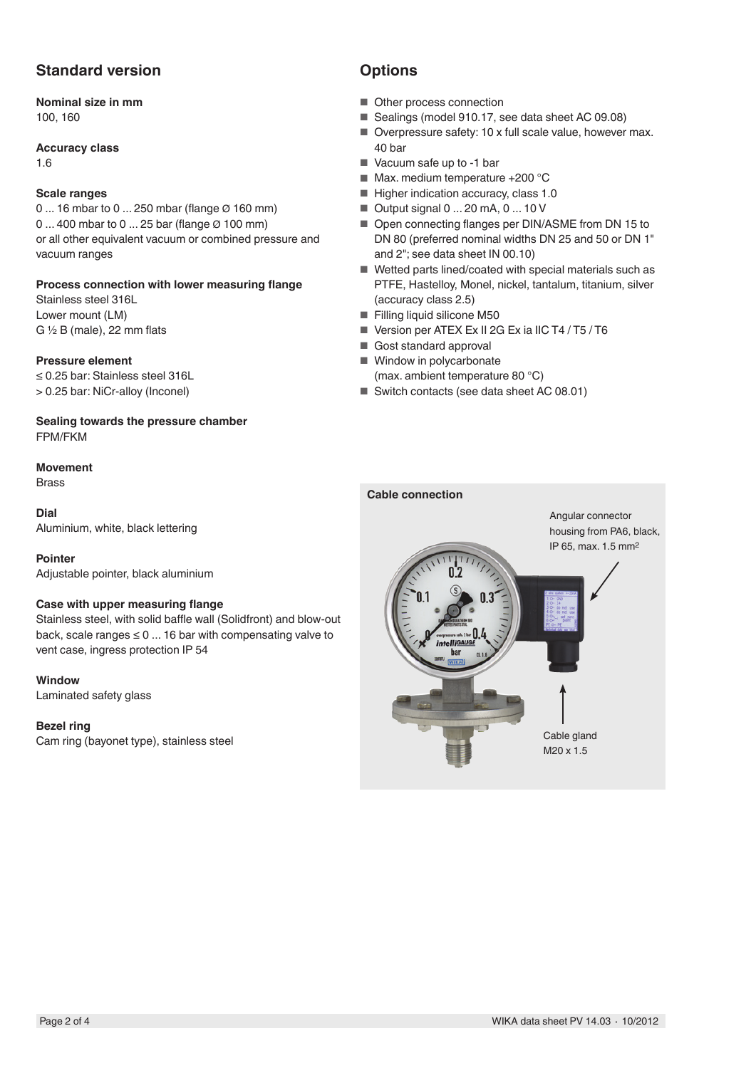## **Standard version**

## **Nominal size in mm**

100, 160

#### **Accuracy class**

1.6

#### **Scale ranges**

0 ... 16 mbar to 0 ... 250 mbar (flange Ø 160 mm) 0 ... 400 mbar to 0 ... 25 bar (flange Ø 100 mm) or all other equivalent vacuum or combined pressure and vacuum ranges

#### **Process connection with lower measuring flange**

Stainless steel 316L Lower mount (LM) G  $\frac{1}{2}$  B (male), 22 mm flats

#### **Pressure element**

≤ 0.25 bar: Stainless steel 316L > 0.25 bar: NiCr-alloy (Inconel)

**Sealing towards the pressure chamber** FPM/FKM

#### **Movement**

Brass

#### **Dial**

Aluminium, white, black lettering

#### **Pointer**

Adjustable pointer, black aluminium

#### **Case with upper measuring flange**

Stainless steel, with solid baffle wall (Solidfront) and blow-out back, scale ranges  $\leq 0$  ... 16 bar with compensating valve to vent case, ingress protection IP 54

**Window**

Laminated safety glass

#### **Bezel ring**

Cam ring (bayonet type), stainless steel

## **Options**

- Other process connection
- Sealings (model 910.17, see data sheet AC 09.08)
- Overpressure safety: 10 x full scale value, however max. 40 bar
- Vacuum safe up to -1 bar
- Max. medium temperature +200 °C
- Higher indication accuracy, class 1.0
- Output signal 0 ... 20 mA, 0 ... 10 V
- Open connecting flanges per DIN/ASME from DN 15 to DN 80 (preferred nominal widths DN 25 and 50 or DN 1" and 2"; see data sheet IN 00.10)
- Wetted parts lined/coated with special materials such as PTFE, Hastelloy, Monel, nickel, tantalum, titanium, silver (accuracy class 2.5)
- Filling liquid silicone M50
- Version per ATEX Ex II 2G Ex ia IIC T4 / T5 / T6
- Gost standard approval
- Window in polycarbonate (max. ambient temperature 80 °C)
- Switch contacts (see data sheet AC 08.01)

#### **Cable connection**

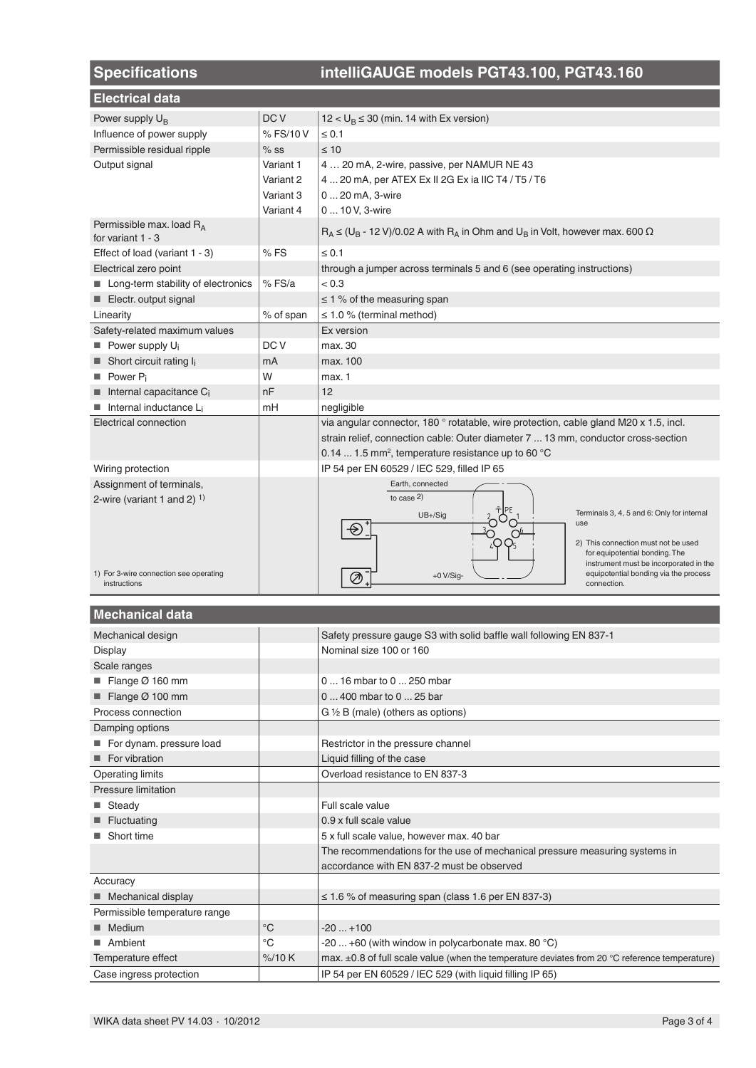| <b>Specifications</b>                                     |                 | intelliGAUGE models PGT43.100, PGT43.160                                                      |  |  |  |  |  |  |  |
|-----------------------------------------------------------|-----------------|-----------------------------------------------------------------------------------------------|--|--|--|--|--|--|--|
| <b>Electrical data</b>                                    |                 |                                                                                               |  |  |  |  |  |  |  |
| Power supply U <sub>B</sub>                               | DC <sub>V</sub> | $12 < U_B \le 30$ (min. 14 with Ex version)                                                   |  |  |  |  |  |  |  |
| Influence of power supply                                 | % FS/10 V       | $\leq 0.1$                                                                                    |  |  |  |  |  |  |  |
| Permissible residual ripple                               | $%$ SS          | $\leq 10$                                                                                     |  |  |  |  |  |  |  |
| Output signal                                             | Variant 1       | 4  20 mA, 2-wire, passive, per NAMUR NE 43                                                    |  |  |  |  |  |  |  |
|                                                           | Variant 2       | 4  20 mA, per ATEX Ex II 2G Ex ia IIC T4 / T5 / T6                                            |  |  |  |  |  |  |  |
|                                                           | Variant 3       | 0  20 mA, 3-wire                                                                              |  |  |  |  |  |  |  |
|                                                           | Variant 4       | 0  10 V, 3-wire                                                                               |  |  |  |  |  |  |  |
| Permissible max. load R <sub>A</sub><br>for variant 1 - 3 |                 | $R_A \leq (U_B - 12 V)/0.02 A$ with $R_A$ in Ohm and $U_B$ in Volt, however max. 600 $\Omega$ |  |  |  |  |  |  |  |
| Effect of load (variant 1 - 3)                            | %FS             | $\leq 0.1$                                                                                    |  |  |  |  |  |  |  |
| Electrical zero point                                     |                 | through a jumper across terminals 5 and 6 (see operating instructions)                        |  |  |  |  |  |  |  |
| Long-term stability of electronics                        | $%$ FS/a        | < 0.3                                                                                         |  |  |  |  |  |  |  |
| Electr. output signal                                     |                 | $\leq$ 1 % of the measuring span                                                              |  |  |  |  |  |  |  |
| Linearity                                                 | % of span       | $\leq$ 1.0 % (terminal method)                                                                |  |  |  |  |  |  |  |
| Safety-related maximum values                             |                 | Ex version                                                                                    |  |  |  |  |  |  |  |
| Power supply U <sub>i</sub>                               | DC V            | max. 30                                                                                       |  |  |  |  |  |  |  |
| $\blacksquare$ Short circuit rating $I_i$                 | mA              | max. 100                                                                                      |  |  |  |  |  |  |  |
| Power P <sub>i</sub><br><b>In the case</b>                | W               | max. 1                                                                                        |  |  |  |  |  |  |  |
| Internal capacitance Ci                                   | nF              | 12                                                                                            |  |  |  |  |  |  |  |
| Internal inductance Li                                    | mH              | negligible                                                                                    |  |  |  |  |  |  |  |
| Electrical connection                                     |                 | via angular connector, 180 ° rotatable, wire protection, cable gland M20 x 1.5, incl.         |  |  |  |  |  |  |  |
|                                                           |                 | strain relief, connection cable: Outer diameter 7  13 mm, conductor cross-section             |  |  |  |  |  |  |  |
|                                                           |                 | 0.14  1.5 mm <sup>2</sup> , temperature resistance up to 60 °C                                |  |  |  |  |  |  |  |
| Wiring protection                                         |                 | IP 54 per EN 60529 / IEC 529, filled IP 65                                                    |  |  |  |  |  |  |  |
| Assignment of terminals,                                  |                 | Earth, connected                                                                              |  |  |  |  |  |  |  |
| 2-wire (variant 1 and 2) $1$ )                            |                 | to case $2)$                                                                                  |  |  |  |  |  |  |  |
|                                                           |                 | Terminals 3, 4, 5 and 6: Only for internal<br>$UB + / Sig$<br>use                             |  |  |  |  |  |  |  |
|                                                           |                 | $\circledast$                                                                                 |  |  |  |  |  |  |  |
|                                                           |                 | 2) This connection must not be used<br>for equipotential bonding. The                         |  |  |  |  |  |  |  |
|                                                           |                 | instrument must be incorporated in the                                                        |  |  |  |  |  |  |  |
| 1) For 3-wire connection see operating<br>instructions    |                 | equipotential bonding via the process<br>$+0$ V/Sig-<br>connection.                           |  |  |  |  |  |  |  |

## **Mechanical data**

| Mechanical design             |             | Safety pressure gauge S3 with solid baffle wall following EN 837-1                             |
|-------------------------------|-------------|------------------------------------------------------------------------------------------------|
| <b>Display</b>                |             | Nominal size 100 or 160                                                                        |
| Scale ranges                  |             |                                                                                                |
| Flange $\varnothing$ 160 mm   |             | 0  16 mbar to 0  250 mbar                                                                      |
| Flange $\varnothing$ 100 mm   |             | 0  400 mbar to 0  25 bar                                                                       |
| Process connection            |             | G 1/2 B (male) (others as options)                                                             |
| Damping options               |             |                                                                                                |
| For dynam. pressure load      |             | Restrictor in the pressure channel                                                             |
| For vibration                 |             | Liquid filling of the case                                                                     |
| <b>Operating limits</b>       |             | Overload resistance to EN 837-3                                                                |
| Pressure limitation           |             |                                                                                                |
| ■ Steady                      |             | Full scale value                                                                               |
| Fluctuating                   |             | 0.9 x full scale value                                                                         |
| Short time                    |             | 5 x full scale value, however max. 40 bar                                                      |
|                               |             | The recommendations for the use of mechanical pressure measuring systems in                    |
|                               |             | accordance with EN 837-2 must be observed                                                      |
| Accuracy                      |             |                                                                                                |
| Mechanical display            |             | $\leq$ 1.6 % of measuring span (class 1.6 per EN 837-3)                                        |
| Permissible temperature range |             |                                                                                                |
| Medium                        | $^{\circ}C$ | $-20+100$                                                                                      |
| Ambient                       | $^{\circ}C$ | -20  +60 (with window in polycarbonate max. 80 $^{\circ}$ C)                                   |
| Temperature effect            | %/10 K      | max. ±0.8 of full scale value (when the temperature deviates from 20 °C reference temperature) |
| Case ingress protection       |             | IP 54 per EN 60529 / IEC 529 (with liquid filling IP 65)                                       |